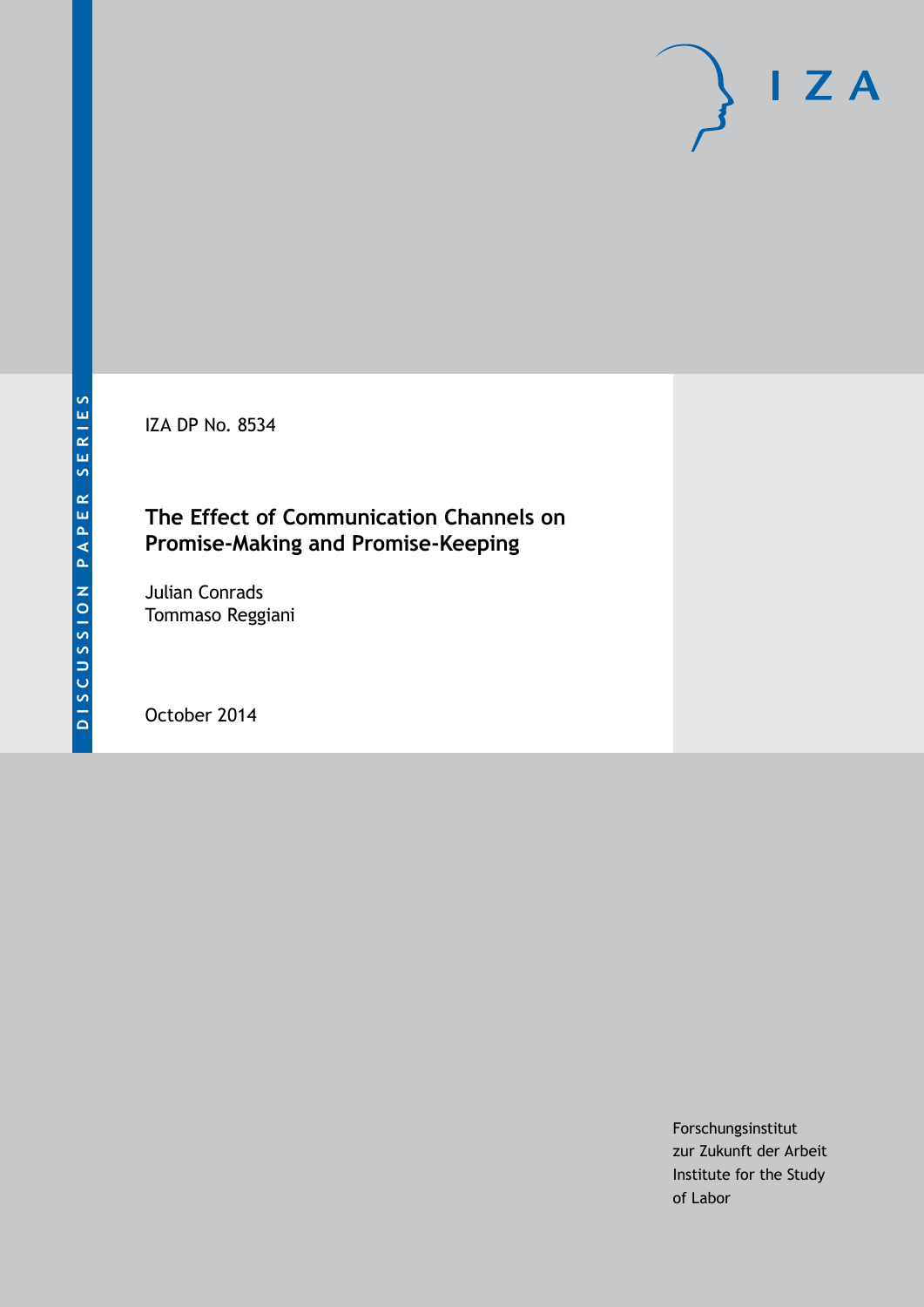IZA DP No. 8534

### **The Effect of Communication Channels on Promise-Making and Promise-Keeping**

Julian Conrads Tommaso Reggiani

October 2014

Forschungsinstitut zur Zukunft der Arbeit Institute for the Study of Labor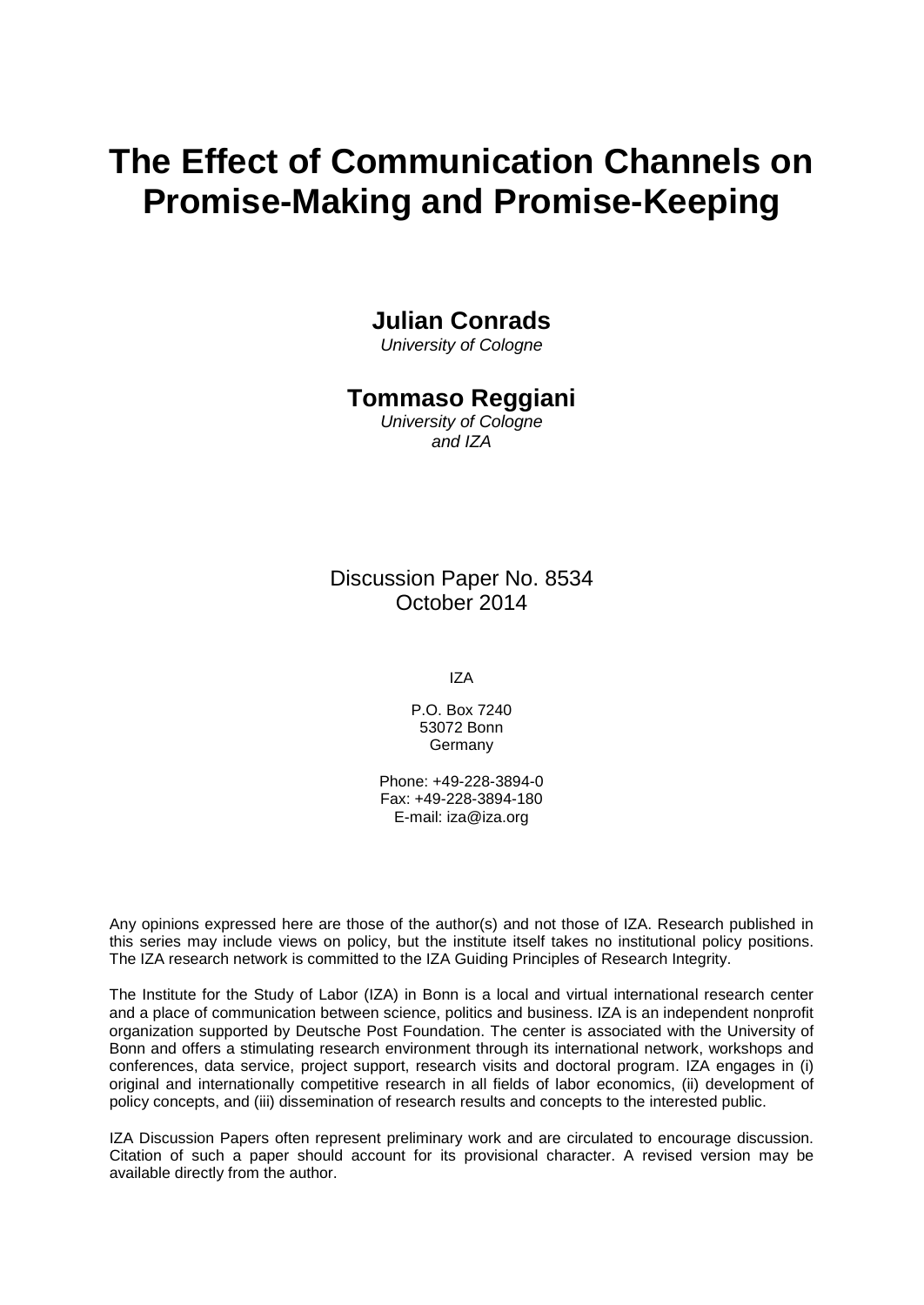# **The Effect of Communication Channels on Promise-Making and Promise-Keeping**

### **Julian Conrads**

*University of Cologne*

### **Tommaso Reggiani**

*University of Cologne and IZA*

Discussion Paper No. 8534 October 2014

IZA

P.O. Box 7240 53072 Bonn Germany

Phone: +49-228-3894-0 Fax: +49-228-3894-180 E-mail: [iza@iza.org](mailto:iza@iza.org)

Any opinions expressed here are those of the author(s) and not those of IZA. Research published in this series may include views on policy, but the institute itself takes no institutional policy positions. The IZA research network is committed to the IZA Guiding Principles of Research Integrity.

The Institute for the Study of Labor (IZA) in Bonn is a local and virtual international research center and a place of communication between science, politics and business. IZA is an independent nonprofit organization supported by Deutsche Post Foundation. The center is associated with the University of Bonn and offers a stimulating research environment through its international network, workshops and conferences, data service, project support, research visits and doctoral program. IZA engages in (i) original and internationally competitive research in all fields of labor economics, (ii) development of policy concepts, and (iii) dissemination of research results and concepts to the interested public.

<span id="page-1-0"></span>IZA Discussion Papers often represent preliminary work and are circulated to encourage discussion. Citation of such a paper should account for its provisional character. A revised version may be available directly from the author.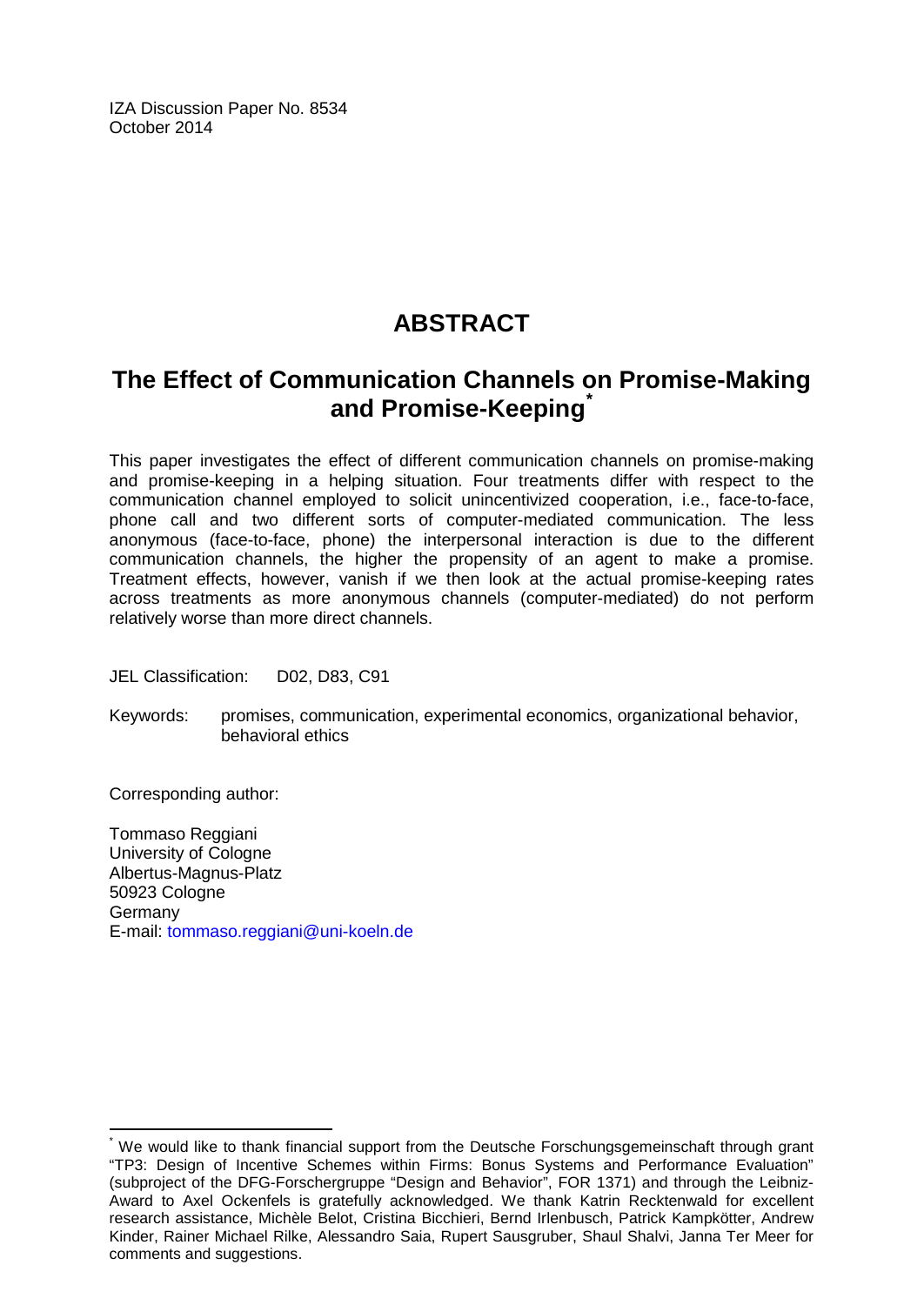IZA Discussion Paper No. 8534 October 2014

# **ABSTRACT**

## **The Effect of Communication Channels on Promise-Making and Promise-Keeping[\\*](#page-1-0)**

This paper investigates the effect of different communication channels on promise-making and promise-keeping in a helping situation. Four treatments differ with respect to the communication channel employed to solicit unincentivized cooperation, i.e., face-to-face, phone call and two different sorts of computer-mediated communication. The less anonymous (face-to-face, phone) the interpersonal interaction is due to the different communication channels, the higher the propensity of an agent to make a promise. Treatment effects, however, vanish if we then look at the actual promise-keeping rates across treatments as more anonymous channels (computer-mediated) do not perform relatively worse than more direct channels.

JEL Classification: D02, D83, C91

Keywords: promises, communication, experimental economics, organizational behavior, behavioral ethics

Corresponding author:

Tommaso Reggiani University of Cologne Albertus-Magnus-Platz 50923 Cologne Germany E-mail: [tommaso.reggiani@uni-koeln.de](mailto:tommaso.reggiani@uni-koeln.de)

We would like to thank financial support from the Deutsche Forschungsgemeinschaft through grant "TP3: Design of Incentive Schemes within Firms: Bonus Systems and Performance Evaluation" (subproject of the DFG-Forschergruppe "Design and Behavior", FOR 1371) and through the Leibniz-Award to Axel Ockenfels is gratefully acknowledged. We thank Katrin Recktenwald for excellent research assistance, Michèle Belot, Cristina Bicchieri, Bernd Irlenbusch, Patrick Kampkötter, Andrew Kinder, Rainer Michael Rilke, Alessandro Saia, Rupert Sausgruber, Shaul Shalvi, Janna Ter Meer for comments and suggestions.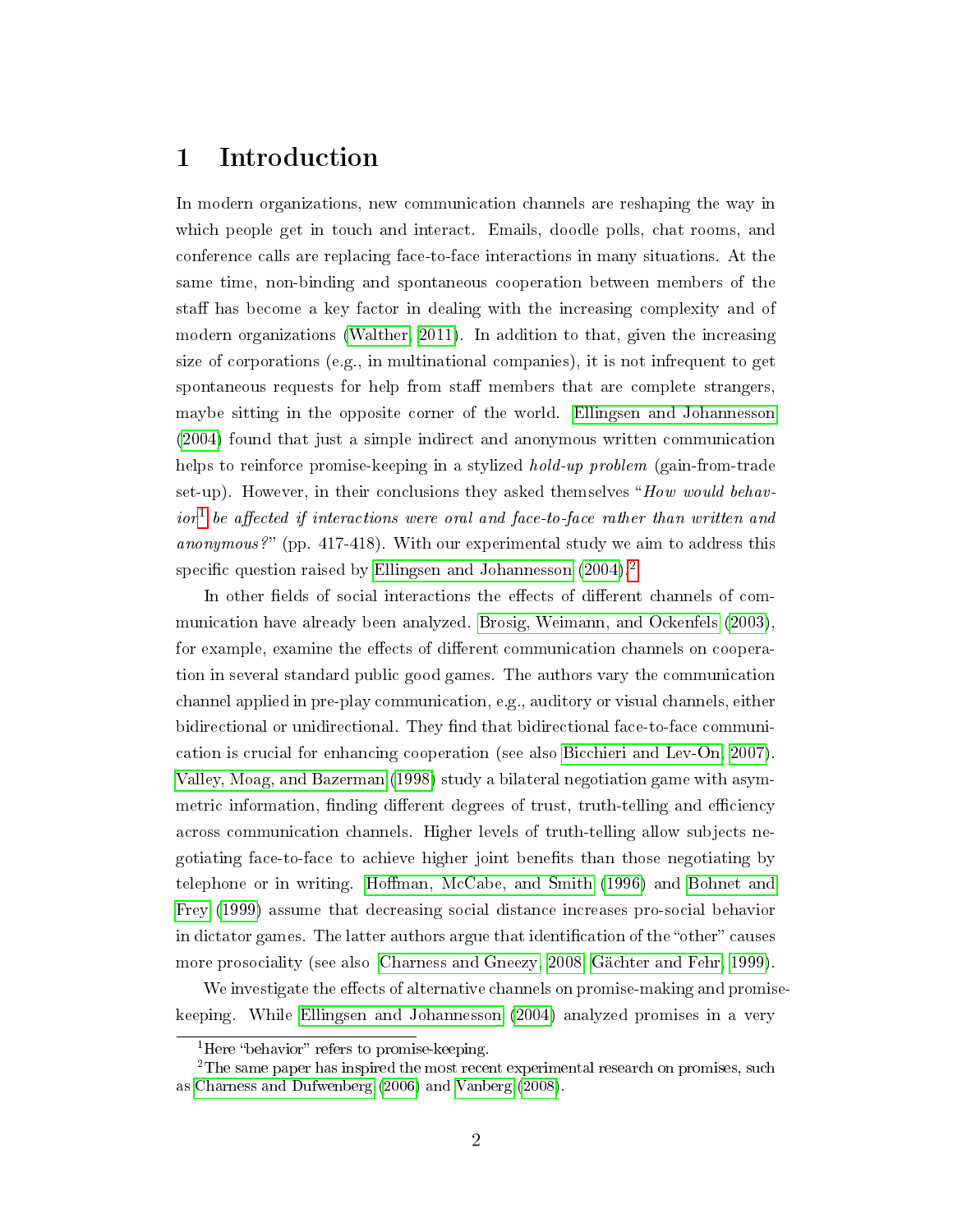### 1 Introduction

In modern organizations, new communication channels are reshaping the way in which people get in touch and interact. Emails, doodle polls, chat rooms, and conference calls are replacing face-to-face interactions in many situations. At the same time, non-binding and spontaneous cooperation between members of the staff has become a key factor in dealing with the increasing complexity and of modern organizations [\(Walther, 2011\)](#page-15-0). In addition to that, given the increasing size of corporations (e.g., in multinational companies), it is not infrequent to get spontaneous requests for help from staff members that are complete strangers, maybe sitting in the opposite corner of the world. [Ellingsen and Johannesson](#page-14-0) [\(2004\)](#page-14-0) found that just a simple indirect and anonymous written communication helps to reinforce promise-keeping in a stylized *hold-up problem* (gain-from-trade set-up). However, in their conclusions they asked themselves "How would behav- $\emph{ior}^1$  $\emph{ior}^1$  be affected if interactions were oral and face-to-face rather than written and anonymous?" (pp. 417-418). With our experimental study we aim to address this specific question raised by [Ellingsen and Johannesson](#page-14-0)  $(2004)^2$  $(2004)^2$  $(2004)^2$ 

In other fields of social interactions the effects of different channels of communication have already been analyzed. [Brosig, Weimann, and Ockenfels](#page-14-1) [\(2003\)](#page-14-1), for example, examine the effects of different communication channels on cooperation in several standard public good games. The authors vary the communication channel applied in pre-play communication, e.g., auditory or visual channels, either bidirectional or unidirectional. They find that bidirectional face-to-face communication is crucial for enhancing cooperation (see also [Bicchieri and Lev-On, 2007\)](#page-14-2). [Valley, Moag, and Bazerman](#page-15-1) [\(1998\)](#page-15-1) study a bilateral negotiation game with asymmetric information, finding different degrees of trust, truth-telling and efficiency across communication channels. Higher levels of truth-telling allow subjects negotiating face-to-face to achieve higher joint benets than those negotiating by telephone or in writing. Hoffman, McCabe, and Smith [\(1996\)](#page-15-2) and [Bohnet and](#page-14-3) [Frey](#page-14-3) [\(1999\)](#page-14-3) assume that decreasing social distance increases pro-social behavior in dictator games. The latter authors argue that identification of the "other" causes more prosociality (see also [Charness and Gneezy, 2008;](#page-14-4) [Gächter and Fehr, 1999\)](#page-14-5).

We investigate the effects of alternative channels on promise-making and promisekeeping. While [Ellingsen and Johannesson](#page-14-0) [\(2004\)](#page-14-0) analyzed promises in a very

<span id="page-3-1"></span><span id="page-3-0"></span><sup>&</sup>lt;sup>1</sup>Here "behavior" refers to promise-keeping.

<sup>&</sup>lt;sup>2</sup>The same paper has inspired the most recent experimental research on promises, such as [Charness and Dufwenberg](#page-14-6) [\(2006\)](#page-14-6) and [Vanberg](#page-15-3) [\(2008\)](#page-15-3).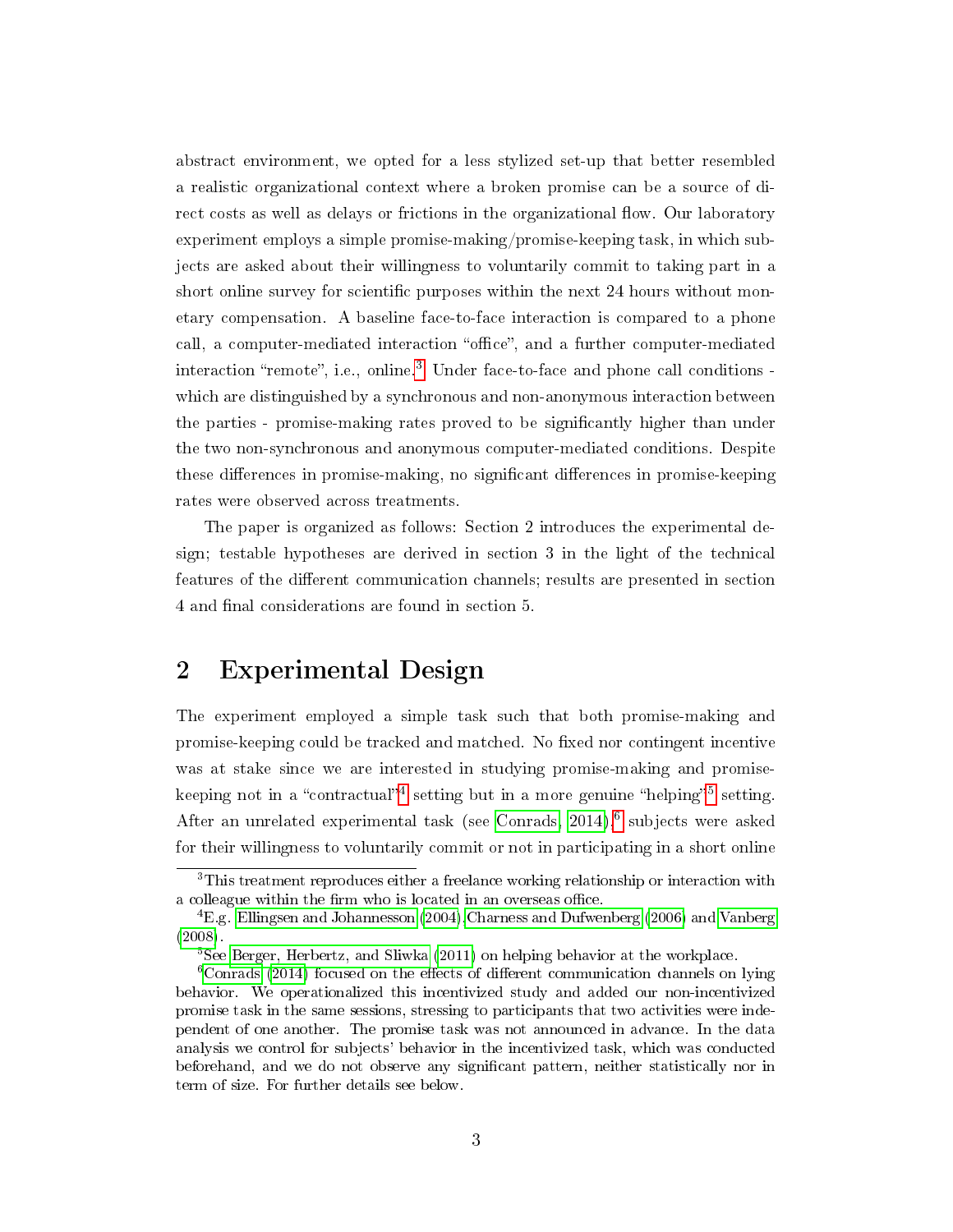abstract environment, we opted for a less stylized set-up that better resembled a realistic organizational context where a broken promise can be a source of direct costs as well as delays or frictions in the organizational flow. Our laboratory experiment employs a simple promise-making/promise-keeping task, in which subjects are asked about their willingness to voluntarily commit to taking part in a short online survey for scientific purposes within the next 24 hours without monetary compensation. A baseline face-to-face interaction is compared to a phone call, a computer-mediated interaction "office", and a further computer-mediated interaction "remote", i.e., online. $3$  Under face-to-face and phone call conditions which are distinguished by a synchronous and non-anonymous interaction between the parties - promise-making rates proved to be signicantly higher than under the two non-synchronous and anonymous computer-mediated conditions. Despite these differences in promise-making, no significant differences in promise-keeping rates were observed across treatments.

The paper is organized as follows: Section 2 introduces the experimental design; testable hypotheses are derived in section 3 in the light of the technical features of the different communication channels; results are presented in section 4 and final considerations are found in section 5.

### 2 Experimental Design

The experiment employed a simple task such that both promise-making and promise-keeping could be tracked and matched. No fixed nor contingent incentive was at stake since we are interested in studying promise-making and promise-keeping not in a "contractual"<sup>[4](#page-4-1)</sup> setting but in a more genuine "helping"<sup>[5](#page-4-2)</sup> setting. After an unrelated experimental task (see Conrads,  $2014$ ),<sup>[6](#page-4-3)</sup> subjects were asked for their willingness to voluntarily commit or not in participating in a short online

<span id="page-4-0"></span><sup>3</sup>This treatment reproduces either a freelance working relationship or interaction with a colleague within the firm who is located in an overseas office.

<span id="page-4-1"></span><sup>4</sup>E.g. [Ellingsen and Johannesson](#page-14-0) [\(2004\)](#page-14-0)[,Charness and Dufwenberg](#page-14-6) [\(2006\)](#page-14-6) and [Vanberg](#page-15-3) [\(2008\)](#page-15-3).

<span id="page-4-3"></span><span id="page-4-2"></span><sup>5</sup>See [Berger, Herbertz, and Sliwka](#page-14-8) [\(2011\)](#page-14-8) on helping behavior at the workplace.

 $6$ [Conrads](#page-14-7) [\(2014\)](#page-14-7) focused on the effects of different communication channels on lying behavior. We operationalized this incentivized study and added our non-incentivized promise task in the same sessions, stressing to participants that two activities were independent of one another. The promise task was not announced in advance. In the data analysis we control for subjects' behavior in the incentivized task, which was conducted beforehand, and we do not observe any signicant pattern, neither statistically nor in term of size. For further details see below.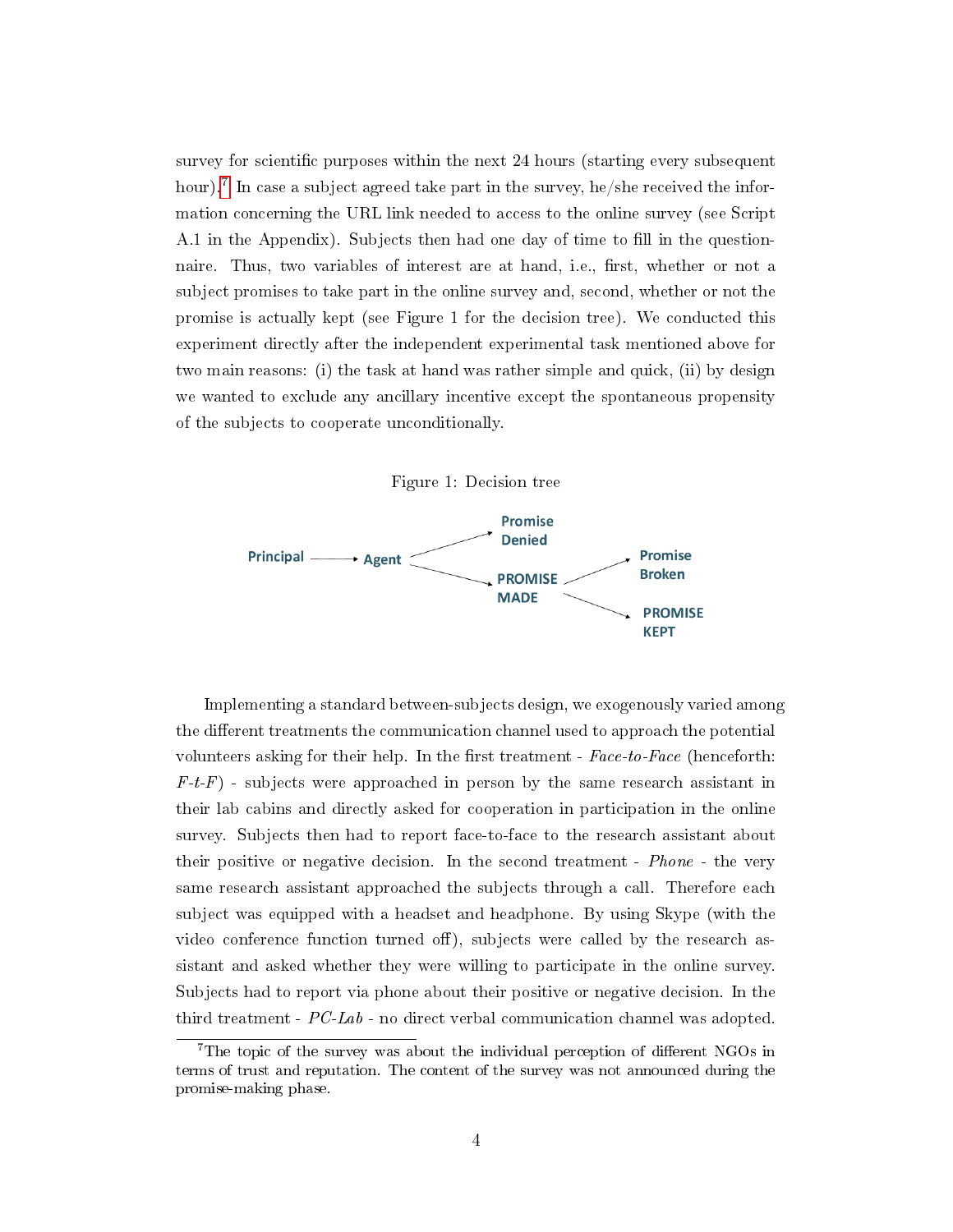survey for scientific purposes within the next 24 hours (starting every subsequent hour).<sup>[7](#page-5-0)</sup> In case a subject agreed take part in the survey, he/she received the information concerning the URL link needed to access to the online survey (see Script A.1 in the Appendix). Subjects then had one day of time to fill in the questionnaire. Thus, two variables of interest are at hand, i.e., first, whether or not a subject promises to take part in the online survey and, second, whether or not the promise is actually kept (see Figure 1 for the decision tree). We conducted this experiment directly after the independent experimental task mentioned above for two main reasons: (i) the task at hand was rather simple and quick, (ii) by design we wanted to exclude any ancillary incentive except the spontaneous propensity of the subjects to cooperate unconditionally.





Implementing a standard between-subjects design, we exogenously varied among the different treatments the communication channel used to approach the potential volunteers asking for their help. In the first treatment -  $Face-to-Face$  (henceforth:  $F-t-F$ ) - subjects were approached in person by the same research assistant in their lab cabins and directly asked for cooperation in participation in the online survey. Subjects then had to report face-to-face to the research assistant about their positive or negative decision. In the second treatment - Phone - the very same research assistant approached the subjects through a call. Therefore each subject was equipped with a headset and headphone. By using Skype (with the video conference function turned off), subjects were called by the research assistant and asked whether they were willing to participate in the online survey. Subjects had to report via phone about their positive or negative decision. In the third treatment - PC-Lab - no direct verbal communication channel was adopted.

<span id="page-5-0"></span><sup>&</sup>lt;sup>7</sup>The topic of the survey was about the individual perception of different NGOs in terms of trust and reputation. The content of the survey was not announced during the promise-making phase.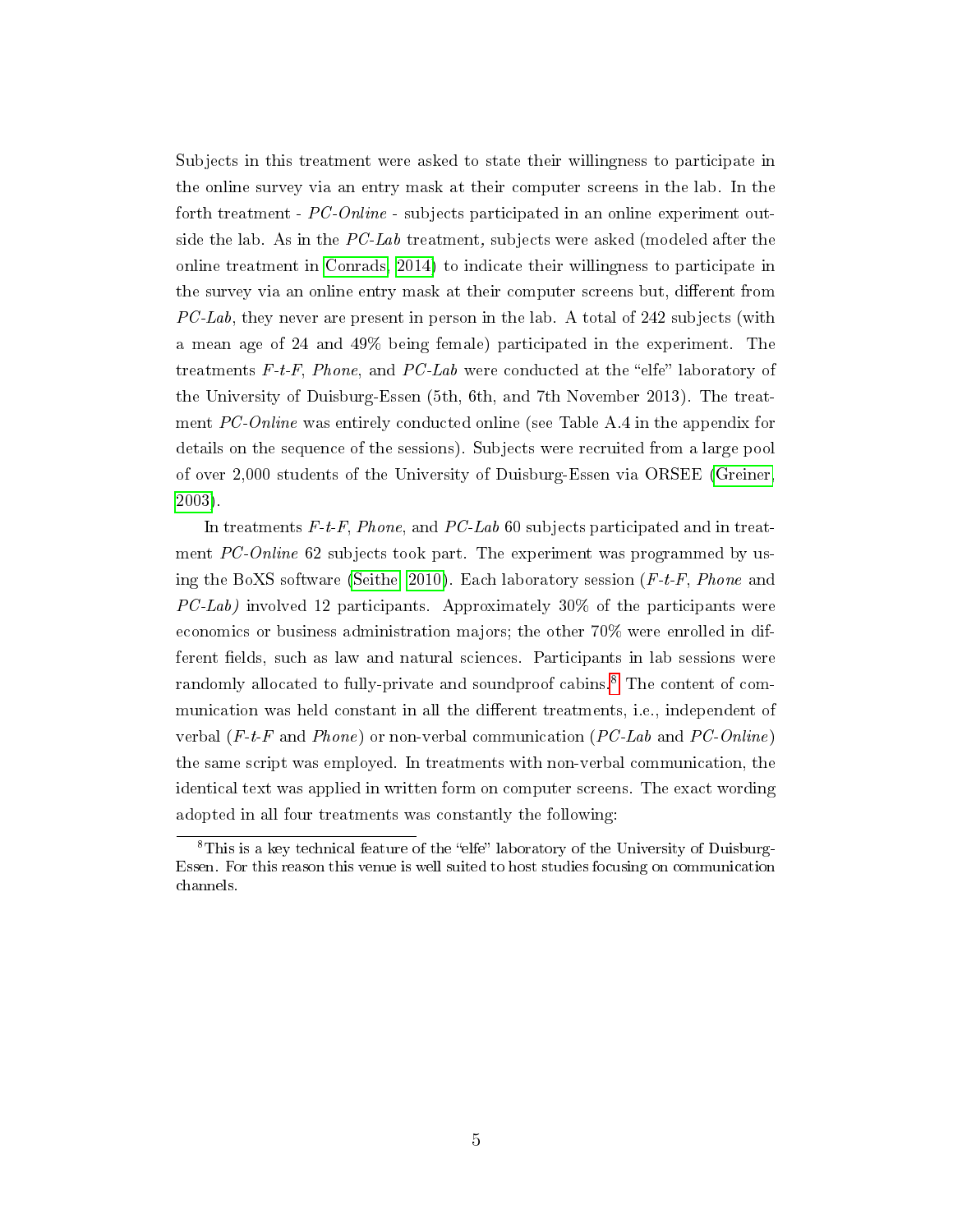Subjects in this treatment were asked to state their willingness to participate in the online survey via an entry mask at their computer screens in the lab. In the forth treatment - PC-Online - subjects participated in an online experiment outside the lab. As in the PC-Lab treatment, subjects were asked (modeled after the online treatment in [Conrads, 2014\)](#page-14-7) to indicate their willingness to participate in the survey via an online entry mask at their computer screens but, different from  $PC-Lab$ , they never are present in person in the lab. A total of 242 subjects (with a mean age of 24 and 49% being female) participated in the experiment. The treatments  $F-t-F$ , Phone, and PC-Lab were conducted at the "elfe" laboratory of the University of Duisburg-Essen (5th, 6th, and 7th November 2013). The treatment PC-Online was entirely conducted online (see Table A.4 in the appendix for details on the sequence of the sessions). Subjects were recruited from a large pool of over 2,000 students of the University of Duisburg-Essen via ORSEE [\(Greiner,](#page-14-9) [2003\)](#page-14-9).

In treatments  $F-t-F$ , Phone, and PC-Lab 60 subjects participated and in treatment PC-Online 62 subjects took part. The experiment was programmed by us-ing the BoXS software [\(Seithe, 2010\)](#page-15-4). Each laboratory session  $(F-t-F, Phone)$  and  $PC\text{-}Lab$ ) involved 12 participants. Approximately 30% of the participants were economics or business administration majors; the other 70% were enrolled in different fields, such as law and natural sciences. Participants in lab sessions were randomly allocated to fully-private and soundproof cabins.<sup>[8](#page-6-0)</sup> The content of communication was held constant in all the different treatments, i.e., independent of verbal  $(F-t-F$  and *Phone*) or non-verbal communication  $(PC-Lab$  and  $PC-Online)$ the same script was employed. In treatments with non-verbal communication, the identical text was applied in written form on computer screens. The exact wording adopted in all four treatments was constantly the following:

<span id="page-6-0"></span> ${}^{8}$ This is a key technical feature of the "elfe" laboratory of the University of Duisburg-Essen. For this reason this venue is well suited to host studies focusing on communication channels.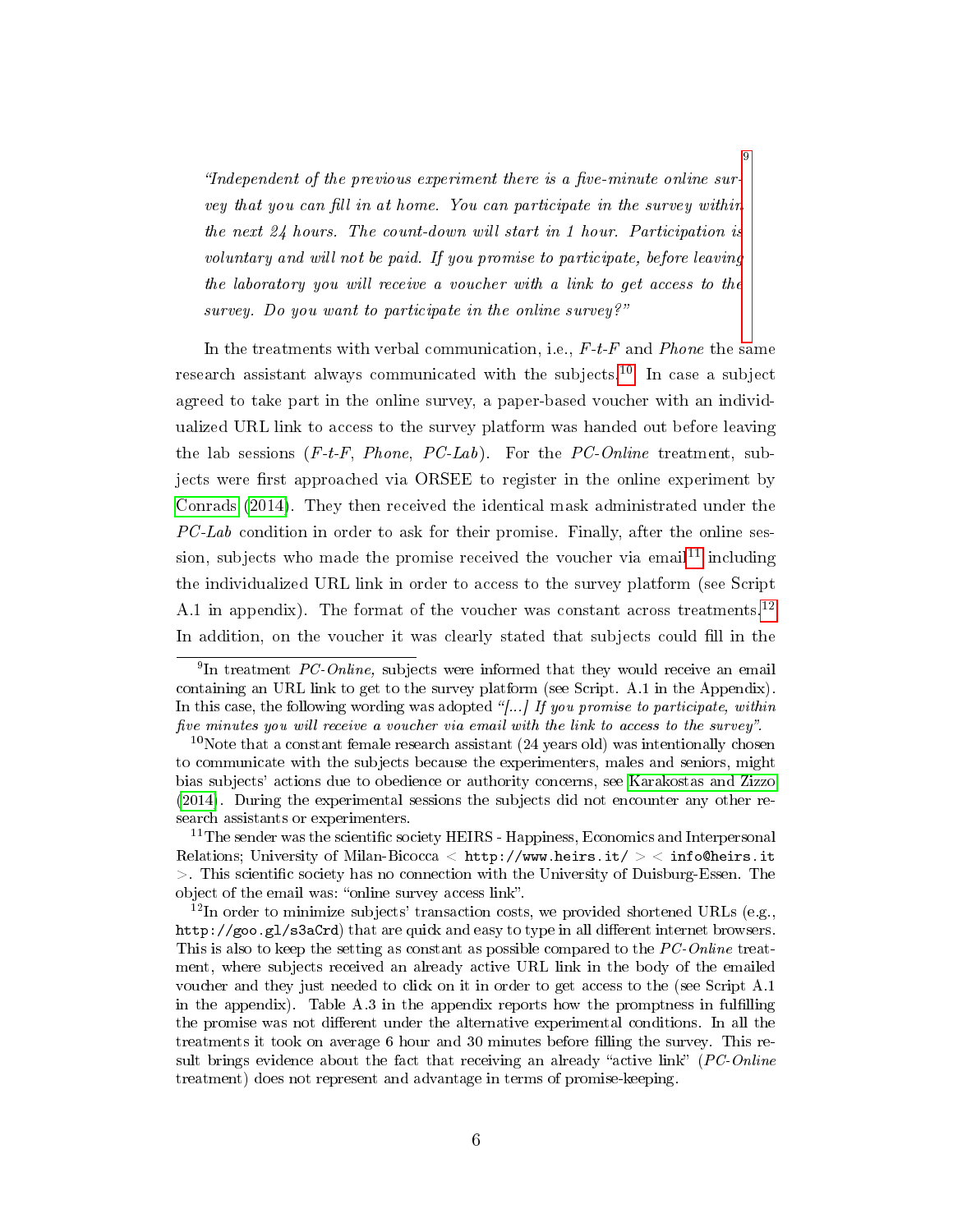"Independent of the previous experiment there is a five-minute online survey that you can fill in at home. You can participate in the survey within the next 24 hours. The count-down will start in 1 hour. Participation is voluntary and will not be paid. If you promise to participate, before leaving the laboratory you will receive a voucher with a link to get access to the survey. Do you want to participate in the online survey?"

In the treatments with verbal communication, i.e.,  $F-t-F$  and Phone the same research assistant always communicated with the subjects.[10](#page-7-1) In case a subject agreed to take part in the online survey, a paper-based voucher with an individualized URL link to access to the survey platform was handed out before leaving the lab sessions  $(F-t-F, Phone, PC-Lab)$ . For the PC-Online treatment, subjects were first approached via ORSEE to register in the online experiment by [Conrads](#page-14-7) [\(2014\)](#page-14-7). They then received the identical mask administrated under the  $PC\text{-}Lab$  condition in order to ask for their promise. Finally, after the online ses-sion, subjects who made the promise received the voucher via email<sup>[11](#page-7-2)</sup> including the individualized URL link in order to access to the survey platform (see Script A.1 in appendix). The format of the voucher was constant across treatments.<sup>[12](#page-7-3)</sup> In addition, on the voucher it was clearly stated that subjects could fill in the

<span id="page-7-0"></span><sup>&</sup>lt;sup>9</sup>In treatment *PC-Online*, subjects were informed that they would receive an email containing an URL link to get to the survey platform (see Script. A.1 in the Appendix). In this case, the following wording was adopted "[...] If you promise to participate, within five minutes you will receive a voucher via email with the link to access to the survey".

<span id="page-7-1"></span> $10$ Note that a constant female research assistant (24 years old) was intentionally chosen to communicate with the subjects because the experimenters, males and seniors, might bias subjects' actions due to obedience or authority concerns, see [Karakostas and Zizzo](#page-15-5) [\(2014\)](#page-15-5). During the experimental sessions the subjects did not encounter any other research assistants or experimenters.

<span id="page-7-2"></span> $11$ The sender was the scientific society HEIRS - Happiness, Economics and Interpersonal Relations; University of Milan-Bicocca < http://www.heirs.it/ > < info@heirs.it  $>$ . This scientific society has no connection with the University of Duisburg-Essen. The object of the email was: "online survey access link".

<span id="page-7-3"></span> $^{12}$ In order to minimize subjects' transaction costs, we provided shortened URLs (e.g., http://goo.gl/s3aCrd) that are quick and easy to type in all different internet browsers. This is also to keep the setting as constant as possible compared to the PC-Online treatment, where subjects received an already active URL link in the body of the emailed voucher and they just needed to click on it in order to get access to the (see Script A.1 in the appendix). Table A.3 in the appendix reports how the promptness in fullling the promise was not different under the alternative experimental conditions. In all the treatments it took on average 6 hour and 30 minutes before filling the survey. This result brings evidence about the fact that receiving an already "active link"  $(PC\text{-}Online$ treatment) does not represent and advantage in terms of promise-keeping.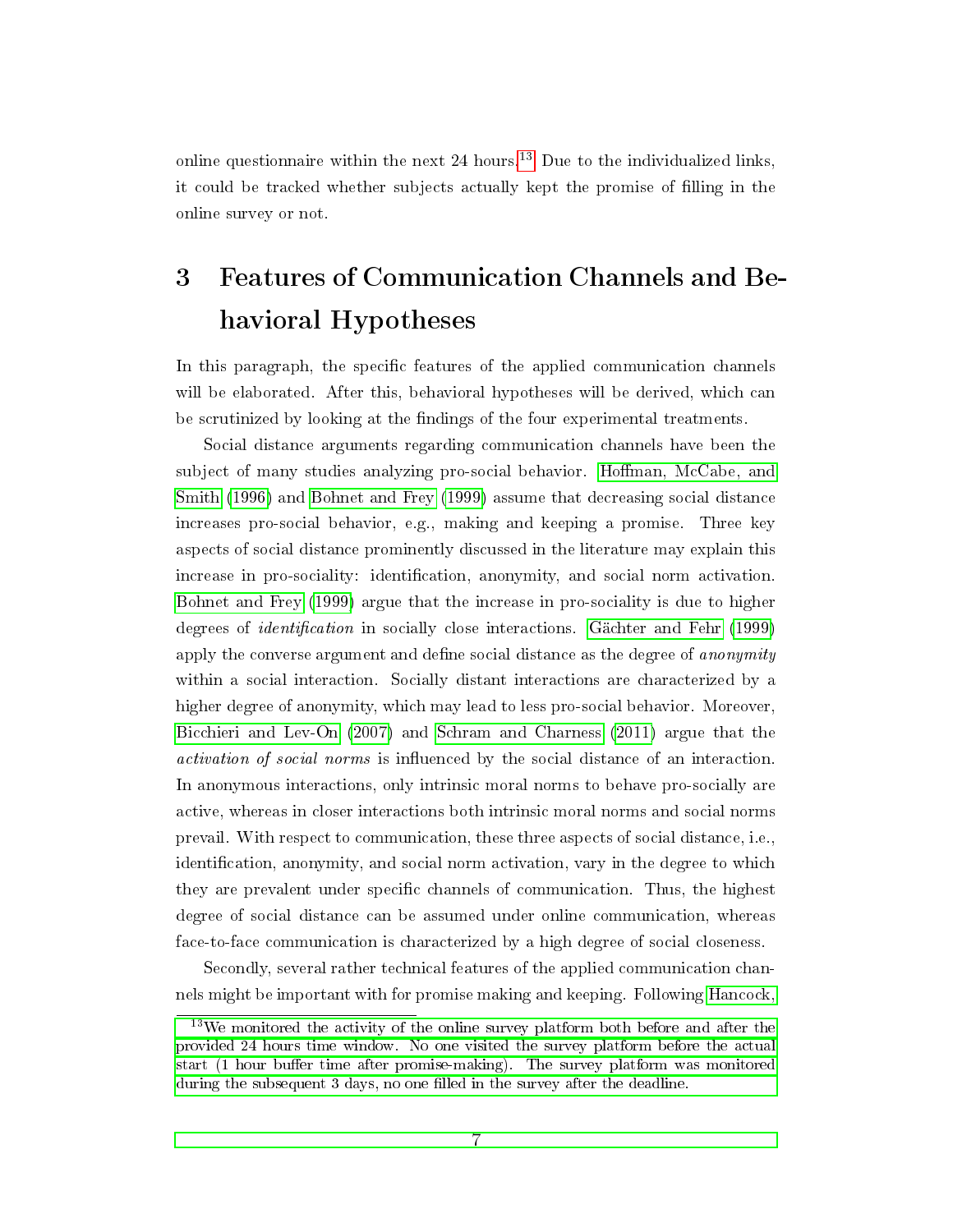online questionnaire within the next  $24$  hours.<sup>[13](#page-8-0)</sup> Due to the individualized links, it could be tracked whether subjects actually kept the promise of lling in the online survey or not.

# 3 Features of Communication Channels and Behavioral Hypotheses

In this paragraph, the specific features of the applied communication channels will be elaborated. After this, behavioral hypotheses will be derived, which can be scrutinized by looking at the findings of the four experimental treatments.

Social distance arguments regarding communication channels have been the subject of many studies analyzing pro-social behavior. Hoffman, McCabe, and [Smith](#page-15-2) [\(1996\)](#page-15-2) and [Bohnet and Frey](#page-14-3) [\(1999\)](#page-14-3) assume that decreasing social distance increases pro-social behavior, e.g., making and keeping a promise. Three key aspects of social distance prominently discussed in the literature may explain this increase in pro-sociality: identification, anonymity, and social norm activation. [Bohnet and Frey](#page-14-3) [\(1999\)](#page-14-3) argue that the increase in pro-sociality is due to higher degrees of *identification* in socially close interactions. [Gächter and Fehr](#page-14-5) [\(1999\)](#page-14-5) apply the converse argument and define social distance as the degree of *anonymity* within a social interaction. Socially distant interactions are characterized by a higher degree of anonymity, which may lead to less pro-social behavior. Moreover, [Bicchieri and Lev-On](#page-14-2) [\(2007\)](#page-14-2) and [Schram and Charness](#page-15-6) [\(2011\)](#page-15-6) argue that the activation of social norms is influenced by the social distance of an interaction. In anonymous interactions, only intrinsic moral norms to behave pro-socially are active, whereas in closer interactions both intrinsic moral norms and social norms prevail. With respect to communication, these three aspects of social distance, i.e., identification, anonymity, and social norm activation, vary in the degree to which they are prevalent under specific channels of communication. Thus, the highest degree of social distance can be assumed under online communication, whereas face-to-face communication is characterized by a high degree of social closeness.

Secondly, several rather technical features of the applied communication channels might be important with for promise making and keeping. Following [Hancock,](#page-14-10)

<span id="page-8-0"></span><sup>&</sup>lt;sup>13</sup>[We monitored the activity of the online survey platform both before and after the](#page-14-10) [provided 24 hours time window. No one visited the survey platform before the actual](#page-14-10) start (1 hour buffer time after promise-making). The survey platform was monitored during the subsequent 3 days, no one filled in the survey after the deadline.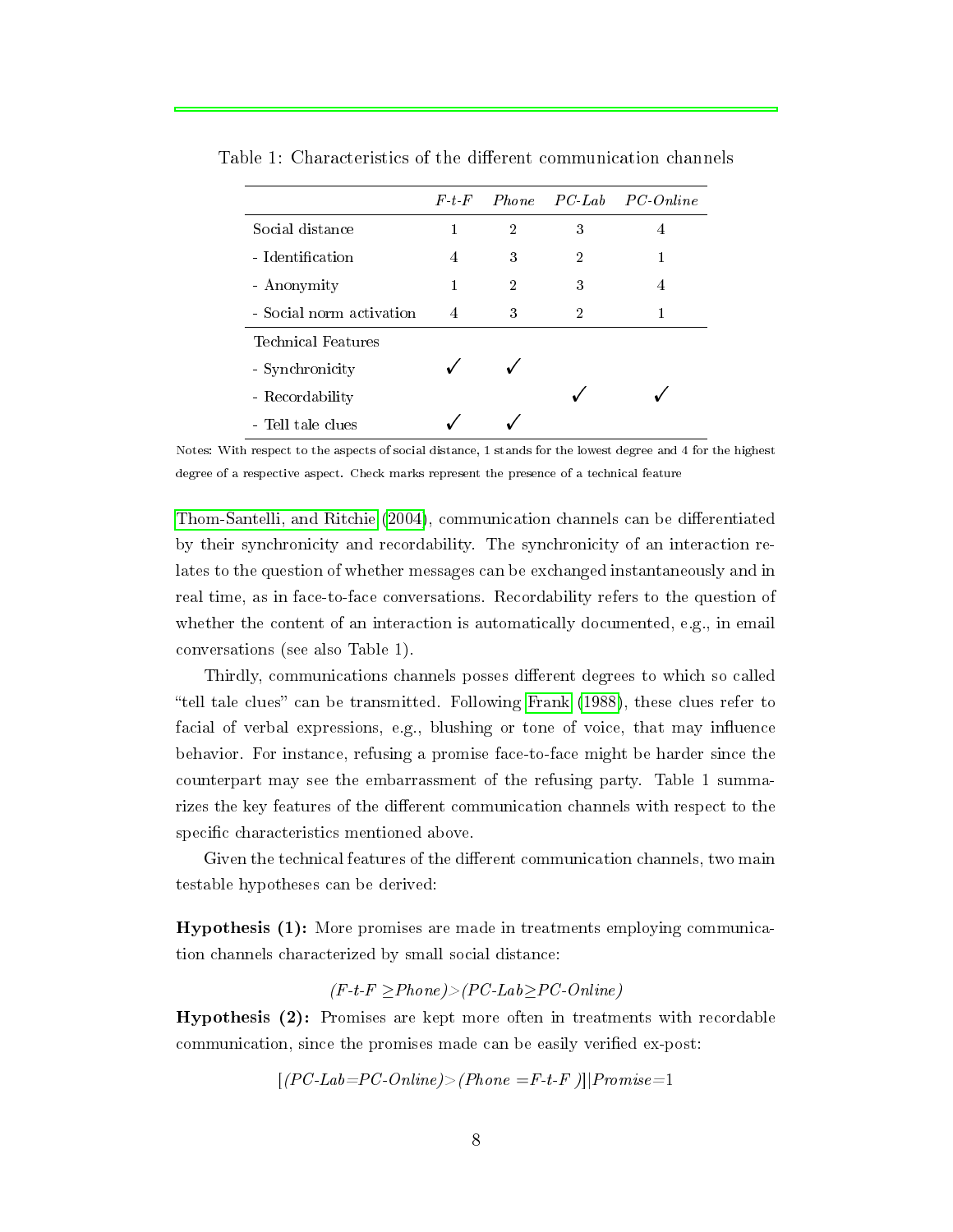|                          | F~t~F | Phone          |   | PC Lab PC Online |
|--------------------------|-------|----------------|---|------------------|
| Social distance          | 1     | $\overline{2}$ | 3 | 4                |
| - Identification         | 4     | 3              | 2 |                  |
| - Anonymity              | 1     | 2              | 3 | 4                |
| - Social norm activation | 4     | 3              | 2 |                  |
| Technical Features       |       |                |   |                  |
| - Synchronicity          |       |                |   |                  |
| - Recordability          |       |                |   |                  |
| - Tell tale clues        |       |                |   |                  |

Table 1: Characteristics of the different communication channels

Notes: With respect to the aspects of social distance, 1 stands for the lowest degree and 4 for the highest degree of a respective aspect. Check marks represent the presence of a technical feature

[Thom-Santelli, and Ritchie](#page-14-10) [\(2004\)](#page-14-10), communication channels can be differentiated by their synchronicity and recordability. The synchronicity of an interaction relates to the question of whether messages can be exchanged instantaneously and in real time, as in face-to-face conversations. Recordability refers to the question of whether the content of an interaction is automatically documented, e.g., in email conversations (see also Table 1).

Thirdly, communications channels posses different degrees to which so called "tell tale clues" can be transmitted. Following [Frank](#page-14-11)  $(1988)$ , these clues refer to facial of verbal expressions, e.g., blushing or tone of voice, that may influence behavior. For instance, refusing a promise face-to-face might be harder since the counterpart may see the embarrassment of the refusing party. Table 1 summarizes the key features of the different communication channels with respect to the specific characteristics mentioned above.

Given the technical features of the different communication channels, two main testable hypotheses can be derived:

Hypothesis (1): More promises are made in treatments employing communication channels characterized by small social distance:

 $(F-t-F \geq Phone) > (PC-Lab \geq PC-Online)$ 

Hypothesis (2): Promises are kept more often in treatments with recordable communication, since the promises made can be easily verified ex-post:

$$
[(PC\text{-}Lab\text{=}PC\text{-}Online) > (Phone = F\text{-}t\text{-}F)] | Promise=1
$$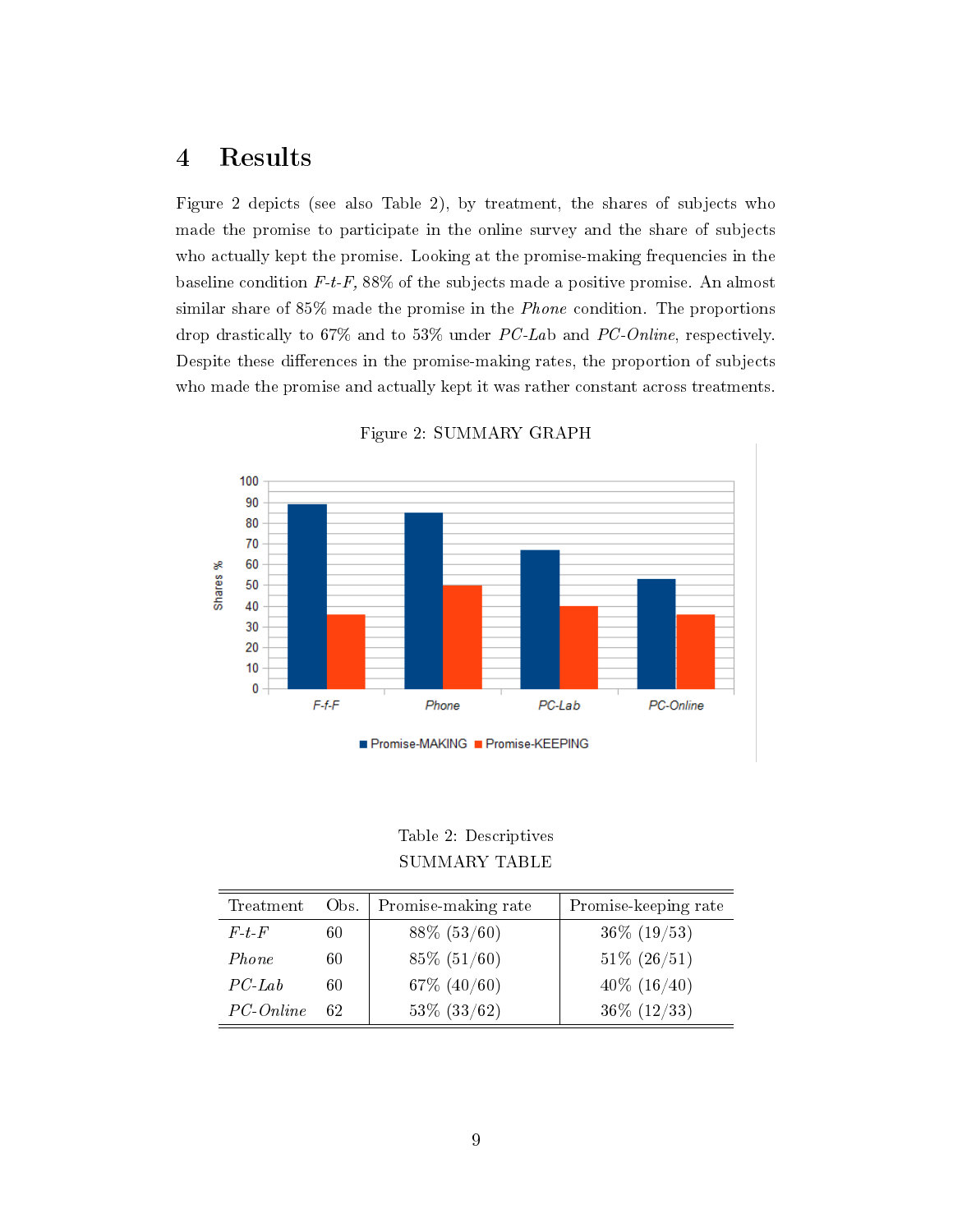# 4 Results

Figure 2 depicts (see also Table 2), by treatment, the shares of subjects who made the promise to participate in the online survey and the share of subjects who actually kept the promise. Looking at the promise-making frequencies in the baseline condition  $F-t-F$ , 88% of the subjects made a positive promise. An almost similar share of 85% made the promise in the Phone condition. The proportions drop drastically to 67% and to 53% under PC-Lab and PC-Online, respectively. Despite these differences in the promise-making rates, the proportion of subjects who made the promise and actually kept it was rather constant across treatments.



Figure 2: SUMMARY GRAPH

Table 2: Descriptives SUMMARY TABLE

| Treatment          | Obs. | Promise-making rate | Promise-keeping rate |
|--------------------|------|---------------------|----------------------|
| $F_t$ + $F$        | 60   | $88\%$ (53/60)      | $36\%$ (19/53)       |
| Phone              | 60   | $85\%$ (51/60)      | $51\% (26/51)$       |
| $PC$ -Lab          | 60   | $67\%$ $(40/60)$    | $40\%$ $(16/40)$     |
| $PC\text{-}Online$ | 62   | $53\%$ $(33/62)$    | $36\%$ (12/33)       |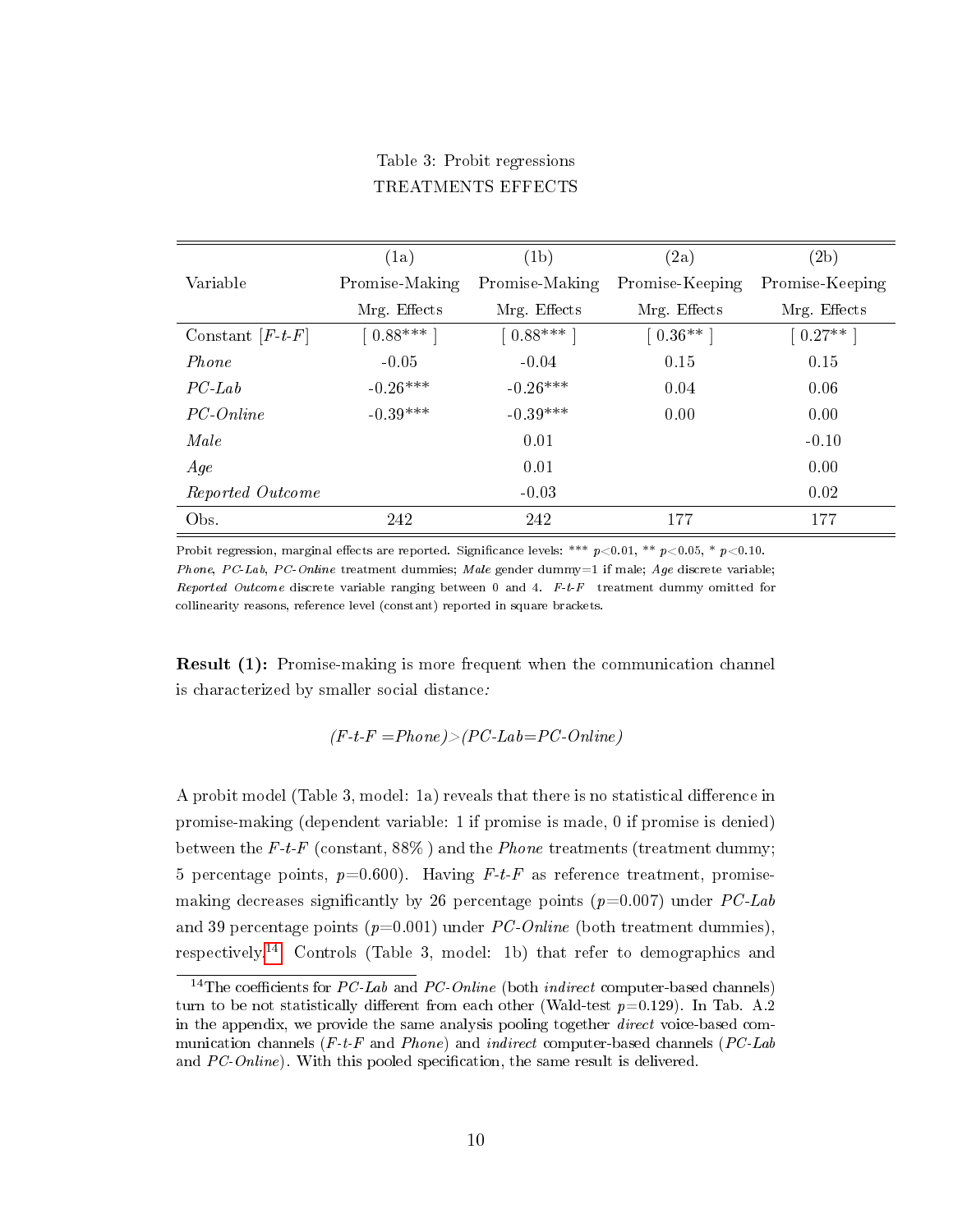#### Table 3: Probit regressions TREATMENTS EFFECTS

|                    | (1a)           | (1b)           | (2a)            | (2b)            |
|--------------------|----------------|----------------|-----------------|-----------------|
| Variable           | Promise-Making | Promise-Making | Promise-Keeping | Promise-Keeping |
|                    | Mrg. Effects   | Mrg. Effects   | Mrg. Effects    | Mrg. Effects    |
| Constant $[F-t-F]$ | $0.88***$      | $[0.88***]$    | $[0.36**]$      | $[0.27**]$      |
| Phone              | $-0.05$        | $-0.04$        | 0.15            | 0.15            |
| $PC-Lab$           | $-0.26***$     | $-0.26***$     | 0.04            | 0.06            |
| PC-Online          | $-0.39***$     | $-0.39***$     | 0.00            | 0.00            |
| Male               |                | 0.01           |                 | $-0.10$         |
| Age                |                | 0.01           |                 | 0.00            |
| Reported Outcome   |                | $-0.03$        |                 | 0.02            |
| Obs.               | 242            | 242            | 177             | 177             |

Probit regression, marginal effects are reported. Significance levels: \*\*\*  $p<0.01$ , \*\*  $p<0.05$ , \*  $p<0.10$ . Phone, PC-Lab, PC-Online treatment dummies; Male gender dummy=1 if male; Age discrete variable; Reported Outcome discrete variable ranging between 0 and 4.  $F-t-F$  treatment dummy omitted for collinearity reasons, reference level (constant) reported in square brackets.

Result (1): Promise-making is more frequent when the communication channel is characterized by smaller social distance:

$$
(F-t-F = Phone) > (PC\text{-}Lab = PC\text{-}Online)
$$

A probit model (Table 3, model: 1a) reveals that there is no statistical difference in promise-making (dependent variable: 1 if promise is made, 0 if promise is denied) between the F-t-F (constant,  $88\%$ ) and the *Phone* treatments (treatment dummy; 5 percentage points,  $p=0.600$ . Having F-t-F as reference treatment, promisemaking decreases significantly by 26 percentage points ( $p=0.007$ ) under PC-Lab and 39 percentage points  $(p=0.001)$  under PC-Online (both treatment dummies), respectively.[14](#page-11-0) Controls (Table 3, model: 1b) that refer to demographics and

<span id="page-11-0"></span><sup>&</sup>lt;sup>14</sup>The coefficients for *PC-Lab* and *PC-Online* (both *indirect* computer-based channels) turn to be not statistically different from each other (Wald-test  $p=0.129$ ). In Tab. A.2 in the appendix, we provide the same analysis pooling together direct voice-based communication channels  $(F-t-F)$  and Phone) and indirect computer-based channels (PC-Lab and  $PC\text{-}Online$ ). With this pooled specification, the same result is delivered.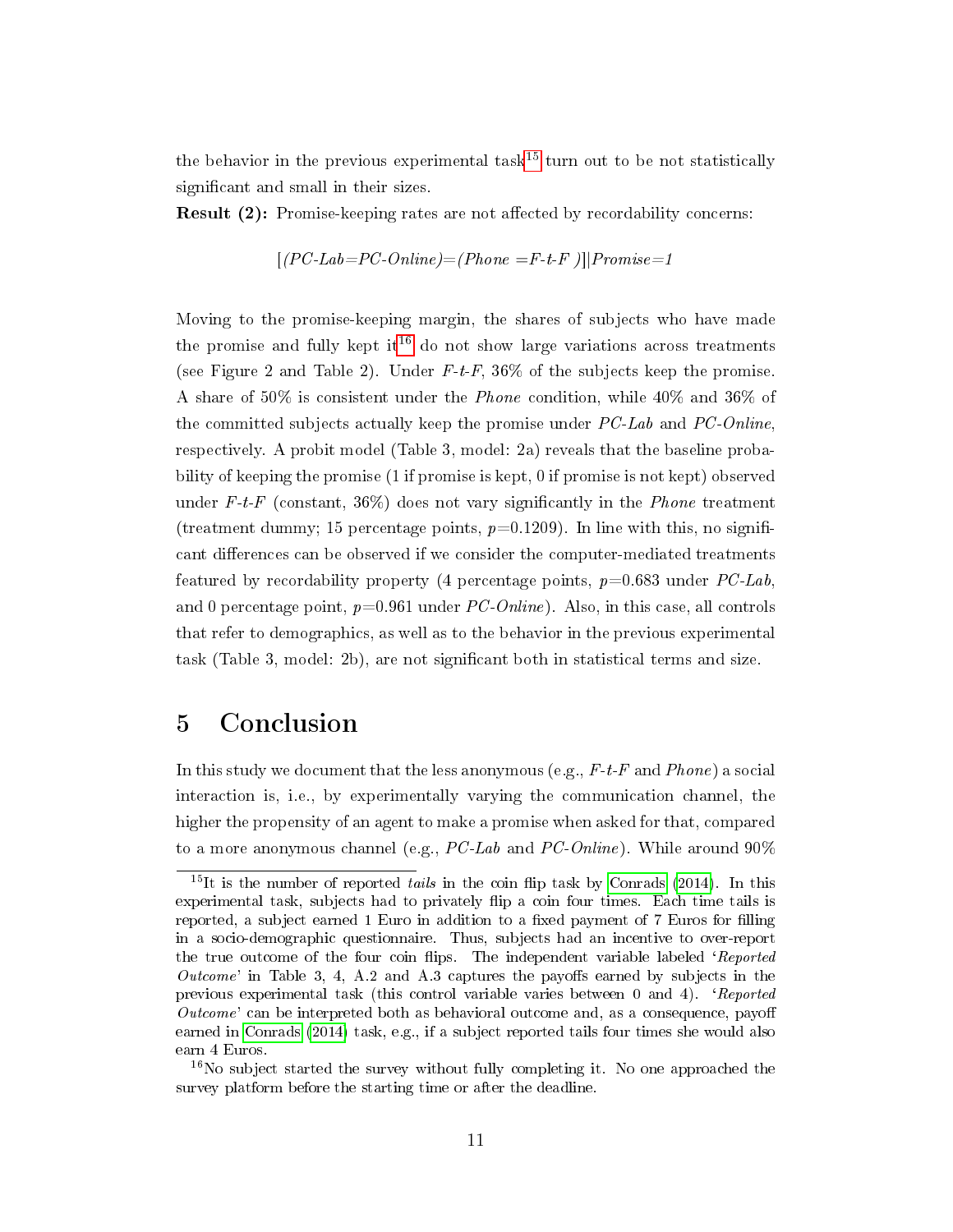the behavior in the previous experimental task<sup>[15](#page-12-0)</sup> turn out to be not statistically significant and small in their sizes.

**Result (2):** Promise-keeping rates are not affected by recordability concerns:

$$
[(PC\text{-}Lab\text{=}PC\text{-}Online) = (Phone = F\text{-}t\text{-}F) \mid | Promise = 1
$$

Moving to the promise-keeping margin, the shares of subjects who have made the promise and fully kept it<sup>[16](#page-12-1)</sup> do not show large variations across treatments (see Figure 2 and Table 2). Under  $F-t-F$ , 36% of the subjects keep the promise. A share of 50% is consistent under the Phone condition, while 40% and 36% of the committed subjects actually keep the promise under  $PC\text{-}Lab$  and  $PC\text{-}Online$ , respectively. A probit model (Table 3, model: 2a) reveals that the baseline probability of keeping the promise (1 if promise is kept, 0 if promise is not kept) observed under F-t-F (constant,  $36\%$ ) does not vary significantly in the *Phone* treatment (treatment dummy; 15 percentage points,  $p=0.1209$ ). In line with this, no significant differences can be observed if we consider the computer-mediated treatments featured by recordability property (4 percentage points,  $p=0.683$  under  $PC-Lab$ , and 0 percentage point,  $p=0.961$  under PC-Online). Also, in this case, all controls that refer to demographics, as well as to the behavior in the previous experimental task (Table 3, model: 2b), are not signicant both in statistical terms and size.

### 5 Conclusion

In this study we document that the less anonymous (e.g.,  $F$ -t-F and Phone) a social interaction is, i.e., by experimentally varying the communication channel, the higher the propensity of an agent to make a promise when asked for that, compared to a more anonymous channel (e.g.,  $PC\text{-}Lab$  and  $PC\text{-}Online$ ). While around  $90\%$ 

<span id="page-12-0"></span> $15$ It is the number of reported tails in the coin flip task by [Conrads](#page-14-7) [\(2014\)](#page-14-7). In this experimental task, subjects had to privately ip a coin four times. Each time tails is reported, a subject earned 1 Euro in addition to a fixed payment of 7 Euros for filling in a socio-demographic questionnaire. Thus, subjects had an incentive to over-report the true outcome of the four coin flips. The independent variable labeled 'Reported Outcome' in Table 3, 4, A.2 and A.3 captures the payoffs earned by subjects in the previous experimental task (this control variable varies between 0 and 4). `Reported  $Outcome'$  can be interpreted both as behavioral outcome and, as a consequence, payoff earned in [Conrads](#page-14-7) [\(2014\)](#page-14-7) task, e.g., if a subject reported tails four times she would also earn 4 Euros.

<span id="page-12-1"></span> $16$ No subject started the survey without fully completing it. No one approached the survey platform before the starting time or after the deadline.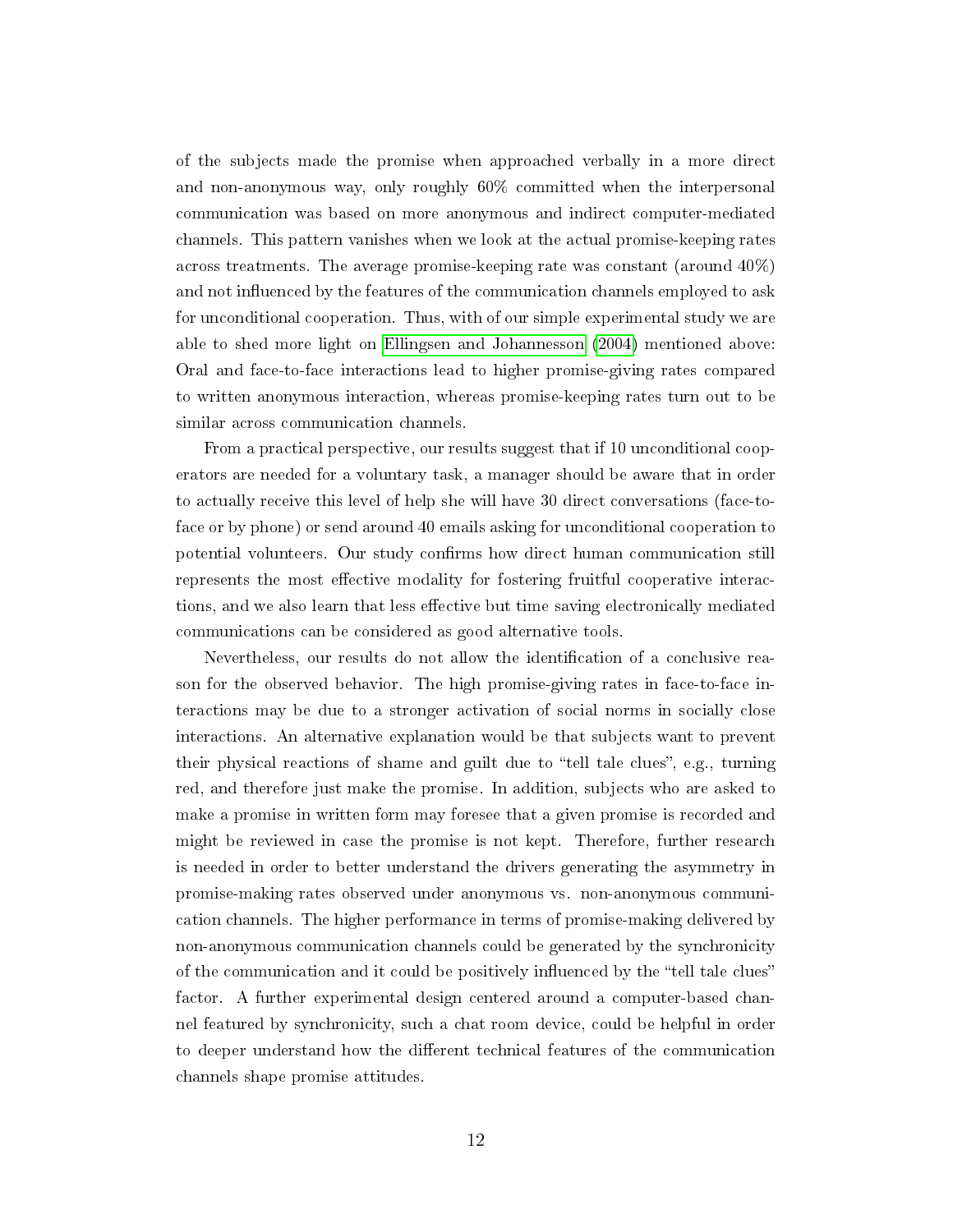of the subjects made the promise when approached verbally in a more direct and non-anonymous way, only roughly 60% committed when the interpersonal communication was based on more anonymous and indirect computer-mediated channels. This pattern vanishes when we look at the actual promise-keeping rates across treatments. The average promise-keeping rate was constant (around 40%) and not influenced by the features of the communication channels employed to ask for unconditional cooperation. Thus, with of our simple experimental study we are able to shed more light on [Ellingsen and Johannesson](#page-14-0) [\(2004\)](#page-14-0) mentioned above: Oral and face-to-face interactions lead to higher promise-giving rates compared to written anonymous interaction, whereas promise-keeping rates turn out to be similar across communication channels.

From a practical perspective, our results suggest that if 10 unconditional cooperators are needed for a voluntary task, a manager should be aware that in order to actually receive this level of help she will have 30 direct conversations (face-toface or by phone) or send around 40 emails asking for unconditional cooperation to potential volunteers. Our study confirms how direct human communication still represents the most effective modality for fostering fruitful cooperative interactions, and we also learn that less effective but time saving electronically mediated communications can be considered as good alternative tools.

Nevertheless, our results do not allow the identification of a conclusive reason for the observed behavior. The high promise-giving rates in face-to-face interactions may be due to a stronger activation of social norms in socially close interactions. An alternative explanation would be that subjects want to prevent their physical reactions of shame and guilt due to "tell tale clues", e.g., turning red, and therefore just make the promise. In addition, subjects who are asked to make a promise in written form may foresee that a given promise is recorded and might be reviewed in case the promise is not kept. Therefore, further research is needed in order to better understand the drivers generating the asymmetry in promise-making rates observed under anonymous vs. non-anonymous communication channels. The higher performance in terms of promise-making delivered by non-anonymous communication channels could be generated by the synchronicity of the communication and it could be positively influenced by the "tell tale clues" factor. A further experimental design centered around a computer-based channel featured by synchronicity, such a chat room device, could be helpful in order to deeper understand how the different technical features of the communication channels shape promise attitudes.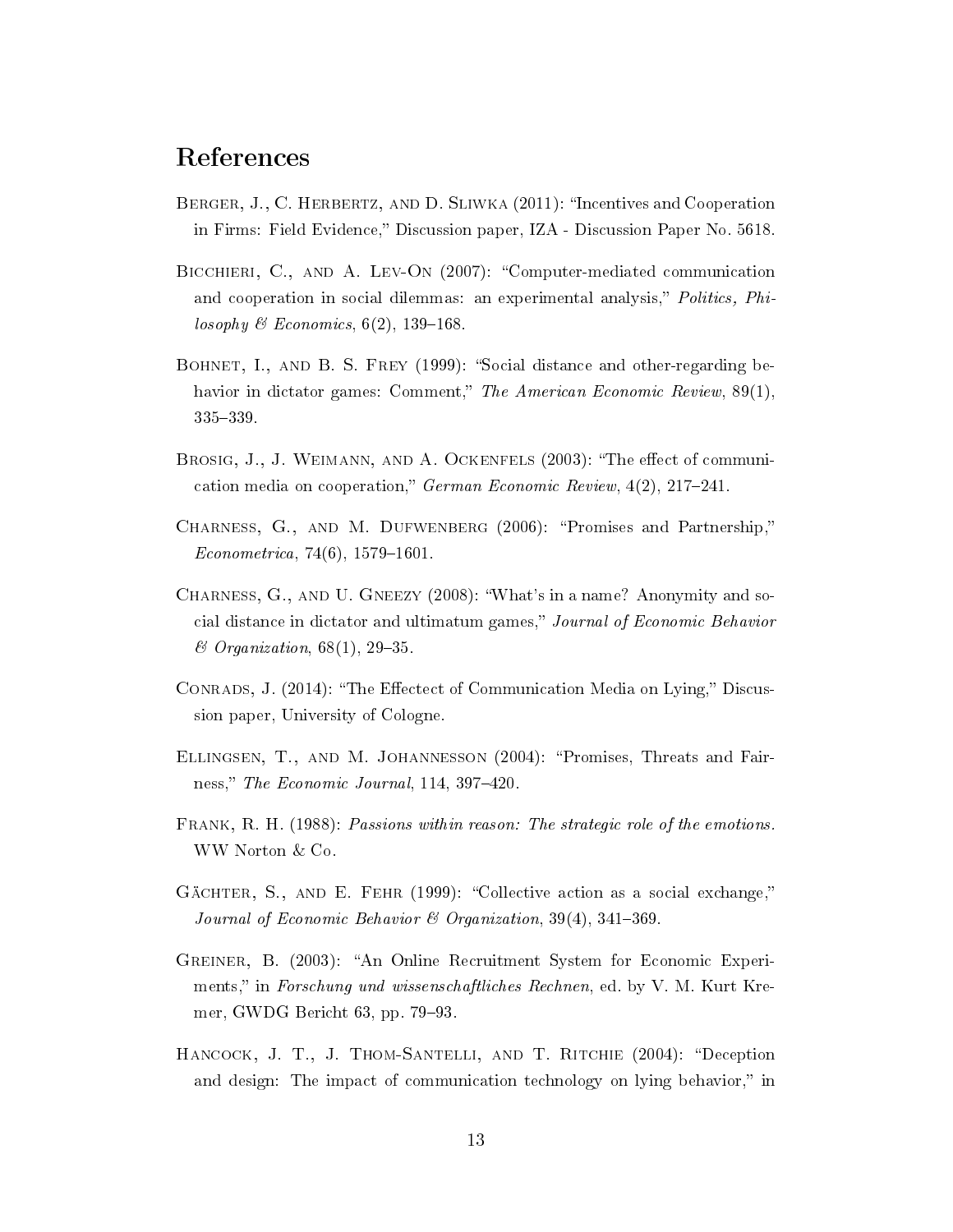### References

- <span id="page-14-8"></span>BERGER, J., C. HERBERTZ, AND D. SLIWKA (2011): "Incentives and Cooperation in Firms: Field Evidence," Discussion paper, IZA - Discussion Paper No. 5618.
- <span id="page-14-2"></span>BICCHIERI, C., AND A. LEV-ON (2007): "Computer-mediated communication and cooperation in social dilemmas: an experimental analysis," Politics, Philosophy & Economics,  $6(2)$ , 139-168.
- <span id="page-14-3"></span>BOHNET, I., AND B. S. FREY (1999): "Social distance and other-regarding behavior in dictator games: Comment," The American Economic Review,  $89(1)$ , 335-339.
- <span id="page-14-1"></span>BROSIG, J., J. WEIMANN, AND A. OCKENFELS (2003): "The effect of communication media on cooperation," German Economic Review,  $4(2)$ ,  $217-241$ .
- <span id="page-14-6"></span>CHARNESS, G., AND M. DUFWENBERG (2006): "Promises and Partnership,"  $Econometrica, 74(6), 1579-1601.$
- <span id="page-14-4"></span>Charness, G., and U. Gneezy (2008): What's in a name? Anonymity and social distance in dictator and ultimatum games," Journal of Economic Behavior  $\mathscr$  *Organization*, 68(1), 29–35.
- <span id="page-14-7"></span>CONRADS, J. (2014): "The Effectect of Communication Media on Lying," Discussion paper, University of Cologne.
- <span id="page-14-0"></span>Ellingsen, T., and M. Johannesson (2004): Promises, Threats and Fairness," The Economic Journal,  $114$ ,  $397-420$ .
- <span id="page-14-11"></span>Frank, R. H. (1988): Passions within reason: The strategic role of the emotions. WW Norton & Co.
- <span id="page-14-5"></span>GÄCHTER, S., AND E. FEHR (1999): "Collective action as a social exchange," Journal of Economic Behavior  $\mathcal B$  Organization, 39(4), 341-369.
- <span id="page-14-9"></span>Greiner, B. (2003): An Online Recruitment System for Economic Experiments," in Forschung und wissenschaftliches Rechnen, ed. by V. M. Kurt Kremer, GWDG Bericht  $63$ , pp.  $79-93$ .
- <span id="page-14-10"></span>HANCOCK, J. T., J. THOM-SANTELLI, AND T. RITCHIE (2004): "Deception and design: The impact of communication technology on lying behavior," in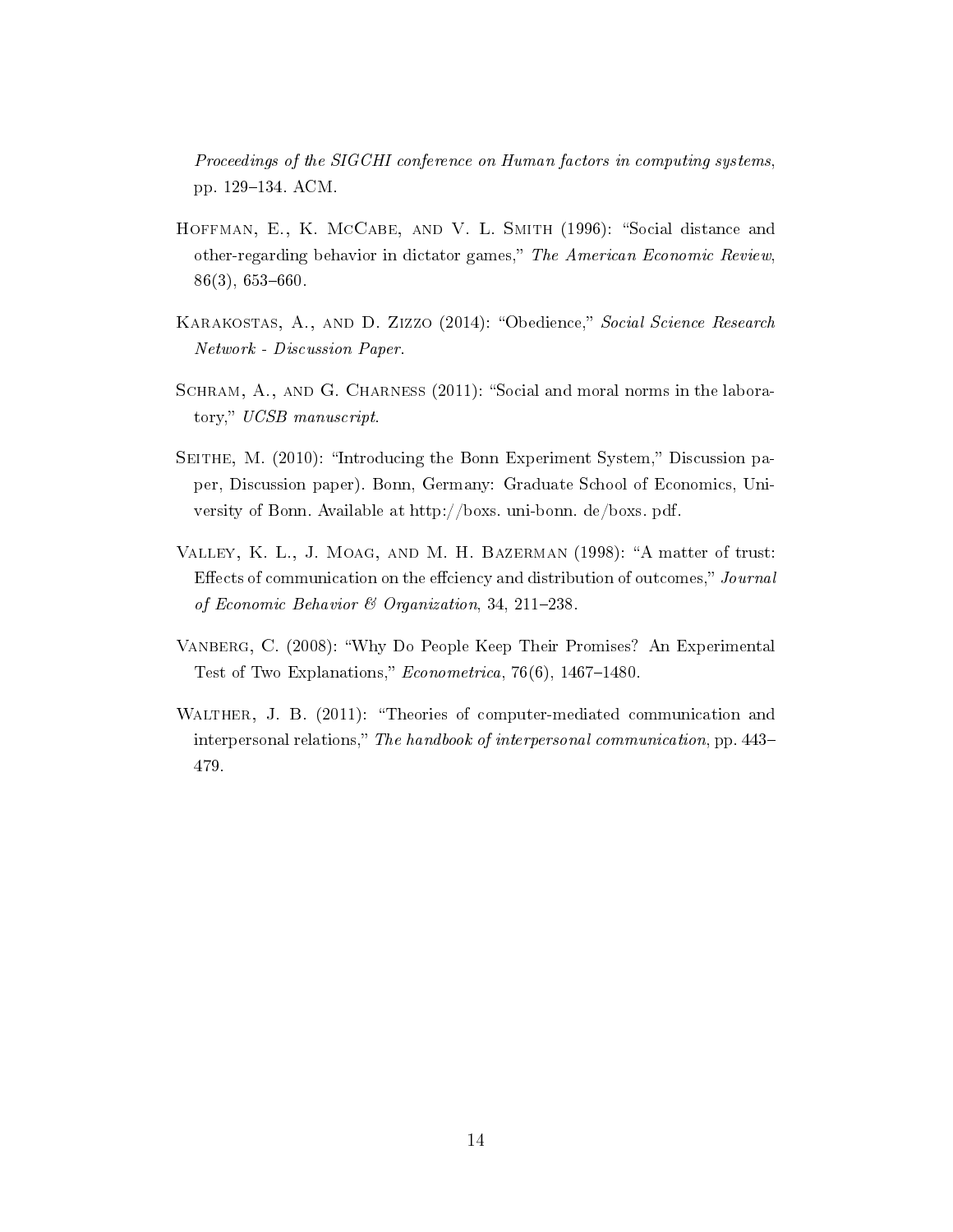Proceedings of the SIGCHI conference on Human factors in computing systems, pp. 129-134. ACM.

- <span id="page-15-2"></span>HOFFMAN, E., K. MCCABE, AND V. L. SMITH (1996): "Social distance and other-regarding behavior in dictator games," The American Economic Review,  $86(3), 653-660.$
- <span id="page-15-5"></span>KARAKOSTAS, A., AND D. ZIZZO (2014): "Obedience," Social Science Research Network - Discussion Paper.
- <span id="page-15-6"></span>SCHRAM, A., AND G. CHARNESS (2011): "Social and moral norms in the laboratory," UCSB manuscript.
- <span id="page-15-4"></span>SEITHE, M. (2010): "Introducing the Bonn Experiment System," Discussion paper, Discussion paper). Bonn, Germany: Graduate School of Economics, University of Bonn. Available at http://boxs. uni-bonn. de/boxs. pdf.
- <span id="page-15-1"></span>VALLEY, K. L., J. MOAG, AND M. H. BAZERMAN (1998): "A matter of trust: Effects of communication on the effciency and distribution of outcomes," Journal of Economic Behavior & Organization, 34, 211-238.
- <span id="page-15-3"></span>Vanberg, C. (2008): Why Do People Keep Their Promises? An Experimental Test of Two Explanations,"  $Econometrica$ , 76(6), 1467-1480.
- <span id="page-15-0"></span>WALTHER, J. B. (2011): "Theories of computer-mediated communication and interpersonal relations," The handbook of interpersonal communication, pp. 443– 479.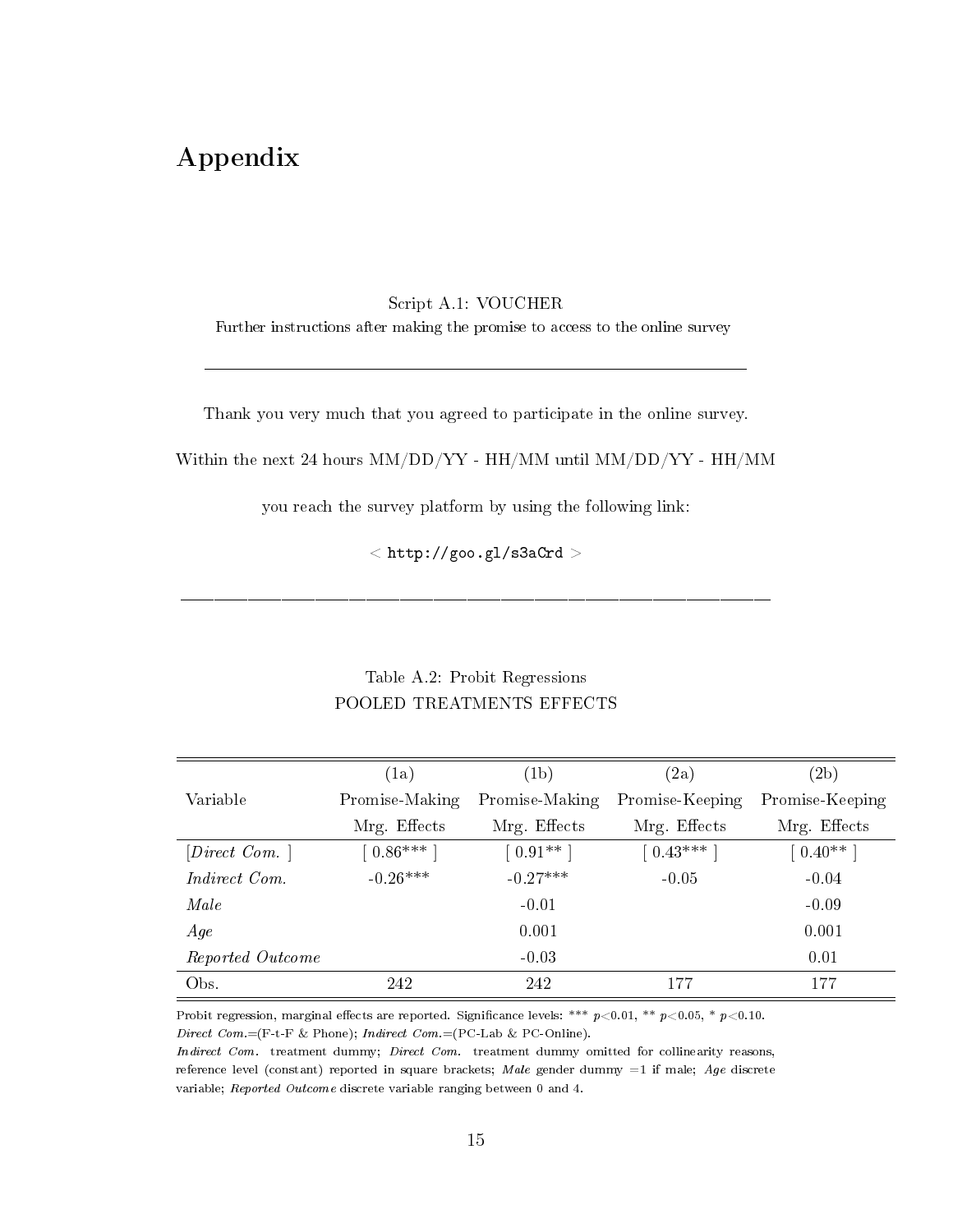# Appendix

#### Script A.1: VOUCHER

Further instructions after making the promise to access to the online survey

Thank you very much that you agreed to participate in the online survey.

Within the next 24 hours MM/DD/YY - HH/MM until MM/DD/YY - HH/MM

you reach the survey platform by using the following link:

 $\langle$  http://goo.gl/s3aCrd  $>$ 

### Table A.2: Probit Regressions POOLED TREATMENTS EFFECTS

|                  | (1a)           | (1b)           | (2a)            | (2b)            |
|------------------|----------------|----------------|-----------------|-----------------|
| Variable         | Promise-Making | Promise-Making | Promise-Keeping | Promise-Keeping |
|                  | Mrg. Effects   | Mrg. Effects   | Mrg. Effects    | Mrg. Effects    |
| $[Direct\ Com.]$ | $0.86***$      | $[0.91**]$     | $0.43***$       | $0.40**$        |
| Indirect Com.    | $-0.26***$     | $-0.27***$     | $-0.05$         | $-0.04$         |
| Male             |                | $-0.01$        |                 | $-0.09$         |
| Age              |                | 0.001          |                 | 0.001           |
| Reported Outcome |                | $-0.03$        |                 | 0.01            |
| Obs.             | 242            | 242            | 177             | 177             |

Probit regression, marginal effects are reported. Significance levels: \*\*\*  $p<0.01$ , \*\*  $p<0.05$ , \*  $p<0.10$ . Direct  $Com = (F-t-F \& Phone); Indirect Com = (PC-Lab \& PC-Online).$ 

Indirect Com. treatment dummy; Direct Com. treatment dummy omitted for collinearity reasons, reference level (constant) reported in square brackets; Male gender dummy =1 if male; Age discrete variable; Reported Outcome discrete variable ranging between 0 and 4.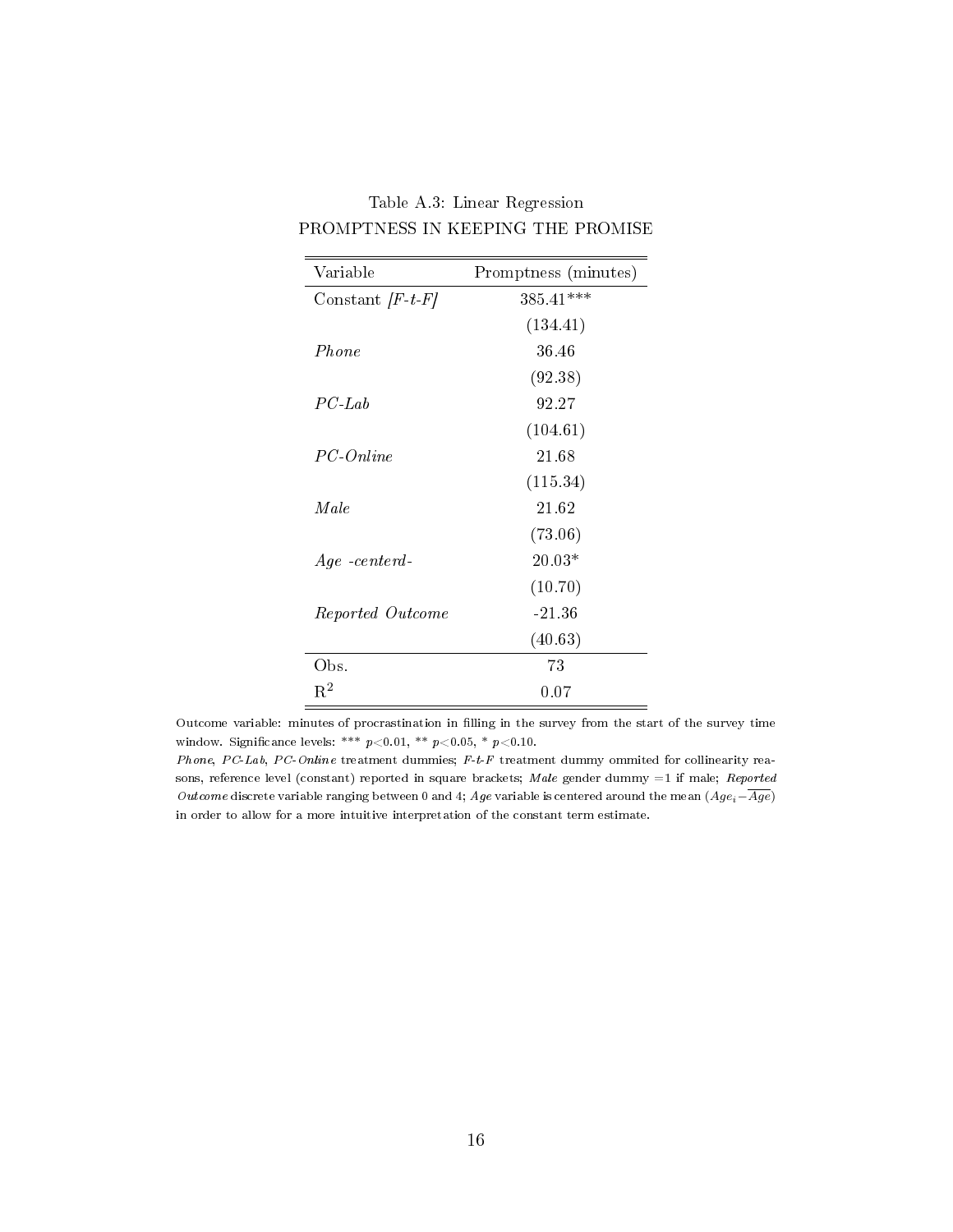| Variable                    | Promptness (minutes) |
|-----------------------------|----------------------|
| Constant $\left F-t\right $ | $385.41***$          |
|                             | (134.41)             |
| Phone                       | 36.46                |
|                             | (92.38)              |
| $PC-Lab$                    | 92.27                |
|                             | (104.61)             |
| PC-Online                   | 21.68                |
|                             | (115.34)             |
| Male                        | 21.62                |
|                             | (73.06)              |
| $Age -centerd$              | 20.03*               |
|                             | (10.70)              |
| Reported Outcome            | $-21.36$             |
|                             | (40.63)              |
| Obs.                        | 73                   |
| $\mathrm{R}^2$              | 0.07                 |

Table A.3: Linear Regression PROMPTNESS IN KEEPING THE PROMISE

Outcome variable: minutes of procrastination in lling in the survey from the start of the survey time window. Significance levels: \*\*\*  $p<0.01$ , \*\*  $p<0.05$ , \*  $p<0.10$ .

Phone, PC-Lab, PC-Online treatment dummies; F-t-F treatment dummy ommited for collinearity reasons, reference level (constant) reported in square brackets; Male gender dummy =1 if male; Reported Outcome discrete variable ranging between 0 and 4; Age variable is centered around the mean  $(Age_i-\overline{Age})$ in order to allow for a more intuitive interpretation of the constant term estimate.